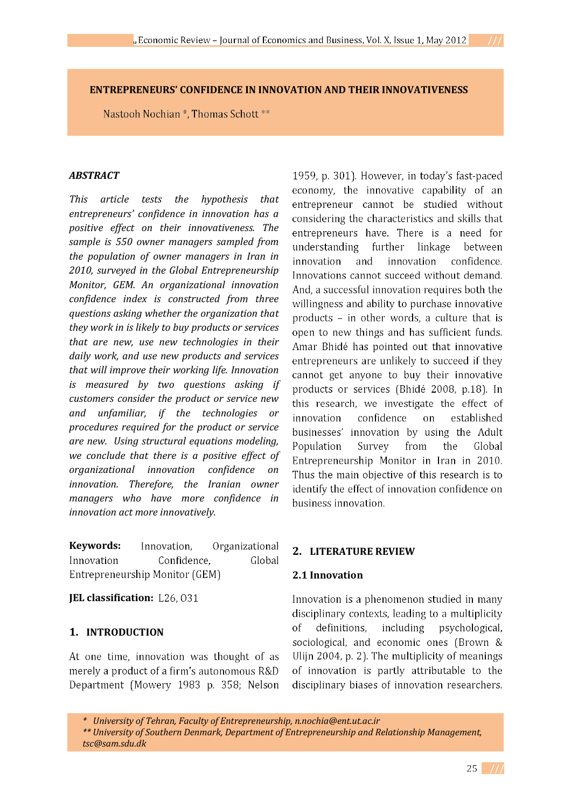# **ENTREPRENEURS' CONFIDENCE IN INNOVATION AND THEIR INNOVATIVENESS**

Nastooh Nochian \*, Thomas Schott \*\*

#### *ABSTRACT*

*This article tests the hypothesis that entrepreneurs confidence in innovation has a positive effect on their innovativeness. The sample is 550 owner managers sampled from the population of owner managers in Iran in 2010, surveyed in the Global Entrepreneurship Monitor, GEM. An organizational innovation confidence index is constructed from three questions asking whether the organization that they work in is likely to buy products or services that are new, use new technologies in their daily work, and use new products and services that will improve their working life. Innovation is measured by two questions asking if customers consider the product or service new and unfamiliar, if the technologies or procedures required for the product or service are new. Using structural equations modeling, we conclude that there is a positive effect of organizational innovation confidence on innovation. Therefore, the Iranian owner managers who have more confidence in innovation act more innovatively.* 

**Keywords:** Innovation. Organizational Innovation Confidence. Global Entrepreneurship Monitor (GEM)

#### **JEL classification:**

#### **1. INTRODUCTION**

At one time, innovation was thought of as merely a product of a firm's autonomous R&D Department (Mowery 1983 p. 358; Nelson 1959, p. 301). However, in today's fast-paced economy, the innovative capability of an entrepreneur cannot be studied without considering the characteristics and skills that entrepreneurs have. There is a need for understanding further linkage between innovation and innovation confidence. Innovations cannot succeed without demand. And, a successful innovation requires both the willingness and ability to purchase innovative products - in other words, a culture that is open to new things and has sufficient funds. Amar Bhidé has pointed out that innovative entrepreneurs are unlikely to succeed if they cannot get anyone to buy their innovative products or services (Bhidé 2008, p.18). In this research, we investigate the effect of innovation confidence  $\alpha$ established businesses' innovation by using the Adult Population Survey from the Global Entrepreneurship Monitor in Iran in 2010. Thus the main objective of this research is to identify the effect of innovation confidence on business innovation.

## **2. LITERATURE REVIEW**

#### **2.1 Innovation**

Innovation is a phenomenon studied in many disciplinary contexts, leading to a multiplicity  $\alpha$ f definitions. including psychological. sociological, and economic ones (Brown & Ulijn 2004, p. 2). The multiplicity of meanings of innovation is partly attributable to the disciplinary biases of innovation researchers.

 *<sup>\*</sup> University of Tehran, Faculty of Entrepreneurship, n.nochia@ent.ut.ac.ir* 

 *<sup>\*\*</sup> University of Southern Denmark, Department of Entrepreneurship and Relationship Management, tsc@sam.sdu.dk*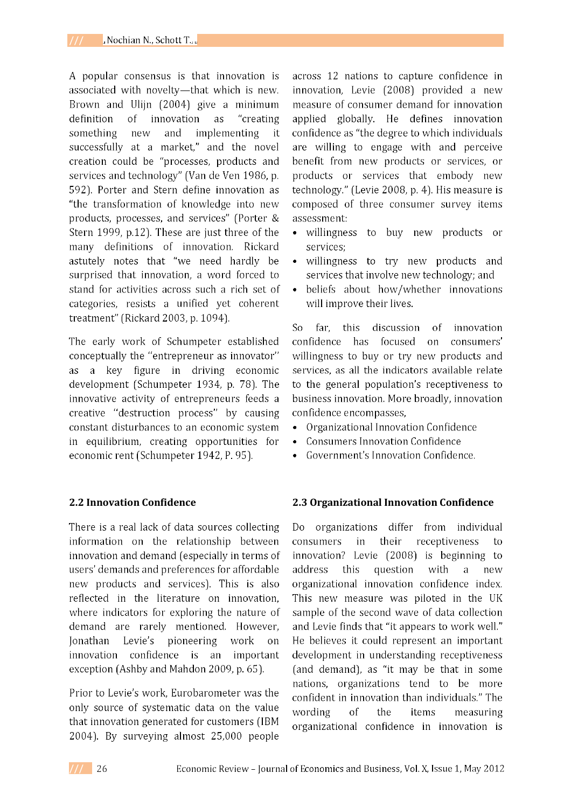A popular consensus is that innovation is associated with novelty-that which is new. Brown and Ulijn (2004) give a minimum definition of innovation as "creating something new and implementing it successfully at a market," and the novel creation could be "processes, products and services and technology" (Van de Ven 1986, p. 592). Porter and Stern define innovation as "the transformation of knowledge into new products, processes, and services" (Porter & Stern 1999, p.12). These are just three of the many definitions of innovation. Rickard astutely notes that "we need hardly be surprised that innovation, a word forced to stand for activities across such a rich set of categories, resists a unified yet coherent treatment" (Rickard 2003, p. 1094).

The early work of Schumpeter established conceptually the "entrepreneur as innovator" as a key figure in driving economic development (Schumpeter 1934, p. 78). The innovative activity of entrepreneurs feeds a creative "destruction process" by causing constant disturbances to an economic system in equilibrium, creating opportunities for economic rent (Schumpeter 1942, P. 95).

## **2.2 Innovation Confidence**

There is a real lack of data sources collecting information on the relationship between innovation and demand (especially in terms of users' demands and preferences for affordable new products and services). This is also reflected in the literature on innovation. where indicators for exploring the nature of demand are rarely mentioned. However, **Ionathan** Levie's pioneering work  $_{\text{on}}$ innovation confidence is an important exception (Ashby and Mahdon 2009, p. 65).

Prior to Levie's work. Eurobarometer was the only source of systematic data on the value that innovation generated for customers (IBM 2004). By surveying almost 25,000 people across 12 nations to capture confidence in innovation, Levie (2008) provided a new measure of consumer demand for innovation applied globally. He defines innovation confidence as "the degree to which individuals are willing to engage with and perceive benefit from new products or services, or products or services that embody new technology." (Levie 2008, p. 4). His measure is composed of three consumer survey items assessment:

- · willingness to buy new products or services;
- · willingness to try new products and services that involve new technology; and
- beliefs about how/whether innovations  $\bullet$ will improve their lives.

S<sub>o</sub> far. this discussion of innovation confidence has focused on consumers' willingness to buy or try new products and services, as all the indicators available relate to the general population's receptiveness to business innovation. More broadly, innovation confidence encompasses,

- Organizational Innovation Confidence  $\bullet$
- **Consumers Innovation Confidence**  $\bullet$
- Government's Innovation Confidence.

## 2.3 Organizational Innovation Confidence

Do organizations differ from individual consumers in their receptiveness to innovation? Levie (2008) is beginning to question with address this a new organizational innovation confidence index. This new measure was piloted in the UK sample of the second wave of data collection and Levie finds that "it appears to work well." He believes it could represent an important development in understanding receptiveness (and demand), as "it may be that in some nations, organizations tend to be more confident in innovation than individuals." The wording  $\alpha$ f the items measuring organizational confidence in innovation is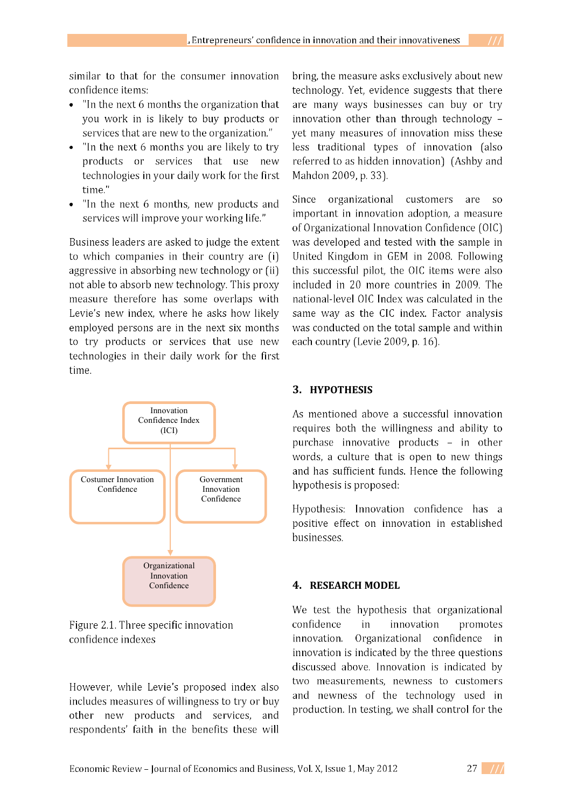similar to that for the consumer innovation confidence items:

- "In the next 6 months the organization that you work in is likely to buy products or services that are new to the organization."
- "In the next 6 months you are likely to try products or services that use new technologies in your daily work for the first time"
- "In the next 6 months, new products and services will improve your working life."

Business leaders are asked to judge the extent to which companies in their country are (i) aggressive in absorbing new technology or (ii) not able to absorb new technology. This proxy measure therefore has some overlaps with Levie's new index, where he asks how likely employed persons are in the next six months to try products or services that use new technologies in their daily work for the first time.



Figure 2.1. Three specific innovation confidence indexes

However, while Levie's proposed index also includes measures of willingness to try or buy other new products and services, and respondents' faith in the benefits these will

bring, the measure asks exclusively about new technology. Yet, evidence suggests that there are many ways businesses can buy or try innovation other than through technology vet many measures of innovation miss these less traditional types of innovation (also referred to as hidden innovation) (Ashby and Mahdon 2009, p. 33).

organizational customers Since are  $SO<sub>2</sub>$ important in innovation adoption, a measure of Organizational Innovation Confidence (OIC) was developed and tested with the sample in United Kingdom in GEM in 2008. Following this successful pilot, the OIC items were also included in 20 more countries in 2009. The national-level OIC Index was calculated in the same way as the CIC index. Factor analysis was conducted on the total sample and within each country (Levie 2009, p. 16).

## 3. HYPOTHESIS

As mentioned above a successful innovation requires both the willingness and ability to purchase innovative products - in other words, a culture that is open to new things and has sufficient funds. Hence the following hypothesis is proposed:

Hypothesis: Innovation confidence has a positive effect on innovation in established businesses.

## 4. RESEARCH MODEL

We test the hypothesis that organizational confidence in innovation promotes Organizational confidence in innovation. innovation is indicated by the three questions discussed above. Innovation is indicated by two measurements, newness to customers and newness of the technology used in production. In testing, we shall control for the

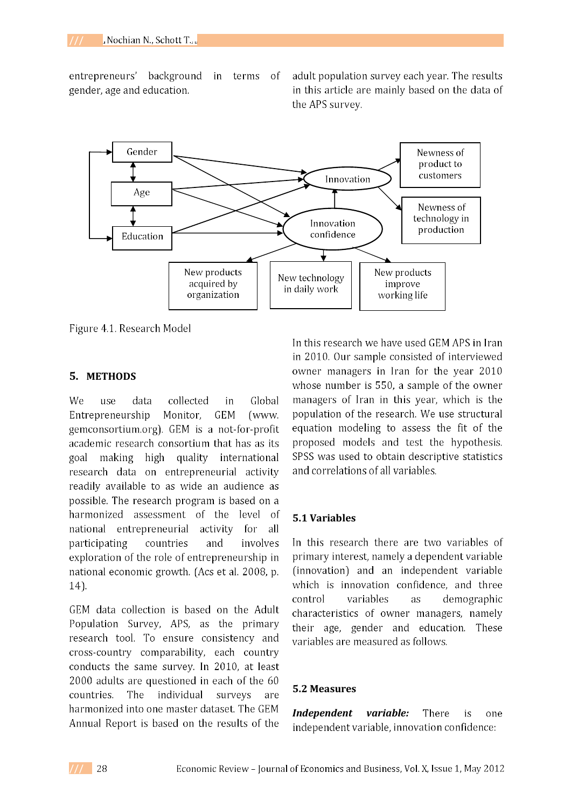Gender Newness of product to customers Innovation Age Newness of technology in Innovation production confidence Education New products New products New technology acquired by improve in daily work organization working life

entrepreneurs' background in terms <sub>of</sub> gender, age and education.

adult population survey each year. The results in this article are mainly based on the data of the APS survey.

Figure 4.1. Research Model

### **5. METHODS**

We collected use data Global in Entrepreneurship Monitor, **GEM** (www. gemconsortium.org). GEM is a not-for-profit academic research consortium that has as its making high quality international goal research data on entrepreneurial activity readily available to as wide an audience as possible. The research program is based on a harmonized assessment of the level -of activity national entrepreneurial for all participating countries and involves exploration of the role of entrepreneurship in national economic growth. (Acs et al. 2008, p.  $14$ ).

GEM data collection is based on the Adult Population Survey, APS, as the primary research tool. To ensure consistency and cross-country comparability, each country conducts the same survey. In 2010, at least 2000 adults are questioned in each of the 60 The countries. individual surveys are harmonized into one master dataset. The GEM Annual Report is based on the results of the

In this research we have used GEM APS in Iran in 2010. Our sample consisted of interviewed owner managers in Iran for the year 2010 whose number is 550, a sample of the owner managers of Iran in this year, which is the population of the research. We use structural equation modeling to assess the fit of the proposed models and test the hypothesis. SPSS was used to obtain descriptive statistics and correlations of all variables.

#### **5.1 Variables**

In this research there are two variables of primary interest, namely a dependent variable (innovation) and an independent variable which is innovation confidence, and three control variables as demographic characteristics of owner managers, namely their age, gender and education. These variables are measured as follows.

#### **5.2 Measures**

*Independent variable:*  **There** is one independent variable, innovation confidence: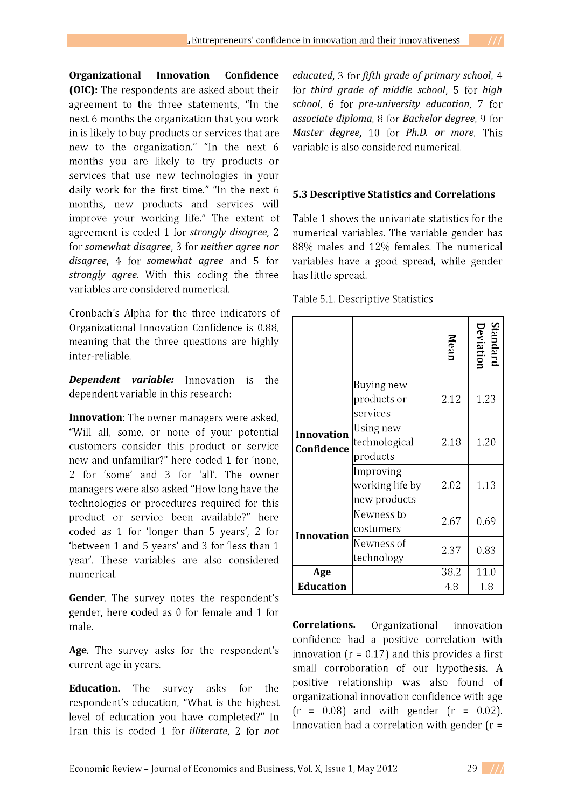**Organizational Innovation Confidence (OIC):** The respondents are asked about their agreement to the three statements, "In the next 6 months the organization that you work in is likely to buy products or services that are new to the organization." "In the next 6 months you are likely to try products or services that use new technologies in your daily work for the first time." "In the next 6 months, new products and services will improve your working life." The extent of agreement is coded 1 for *strongly disagree*, 2 *somewhat disagree neither agree nor disagree*, 4 for *somewhat agree* and 5 for *strongly agree*. With this coding the three variables are considered numerical.

Cronbach's Alpha for the three indicators of Organizational Innovation Confidence is 0.88, meaning that the three questions are highly inter-reliable.

*Dependent variable:* Innovation is the dependent variable in this research:

**Innovation**: The owner managers were asked, "Will all, some, or none of your potential customers consider this product or service new and unfamiliar?" here coded 1 for 'none, 2 for 'some' and 3 for 'all'. The owner managers were also asked "How long have the technologies or procedures required for this product or service been available?" here coded as 1 for 'longer than 5 years', 2 for 'between 1 and 5 years' and 3 for 'less than 1 year'. These variables are also considered numerical.

Gender. The survey notes the respondent's gender, here coded as 0 for female and 1 for male.

Age. The survey asks for the respondent's current age in years.

**Education.** The survey asks for the respondent's education, "What is the highest level of education you have completed?" In Iran this is coded 1 for *illiterate*. 2 for *not*  *educated*, 3 for *fifth grade of primary school*, 4 for *third grade of middle school*, 5 for *high school*, 6 for *pre-university education*, 7 for *associate diploma*, 8 for *Bachelor degree*, 9 for *Master degree*, 10 for *Ph.D. or more*. This variable is also considered numerical.

## **5.3 Descriptive Statistics and Correlations**

Table 1 shows the univariate statistics for the numerical variables. The variable gender has 88% males and 12% females. The numerical variables have a good spread, while gender has little spread.

Table 5.1. Descriptive Statistics

|                                 |                                              | Mean | eviation<br>tandard |
|---------------------------------|----------------------------------------------|------|---------------------|
| <b>Innovation</b><br>Confidence | Buying new<br>products or<br>services        | 2.12 | 1.23                |
|                                 | Using new<br>technological<br>products       | 2.18 | 1.20                |
|                                 | Improving<br>working life by<br>new products | 2.02 | 1.13                |
| Innovation                      | Newness to<br>costumers                      | 2.67 | 0.69                |
|                                 | Newness of<br>technology                     | 2.37 | 0.83                |
| Age                             |                                              | 38.2 | 11.0                |
| <b>Education</b>                |                                              | 4.8  | 1.8                 |

**Correlations.** Organizational innovation confidence had a positive correlation with innovation  $(r = 0.17)$  and this provides a first small corroboration of our hypothesis. A positive relationship was also found of organizational innovation confidence with age  $(r = 0.08)$  and with gender  $(r = 0.02)$ . Innovation had a correlation with gender  $(r =$ 

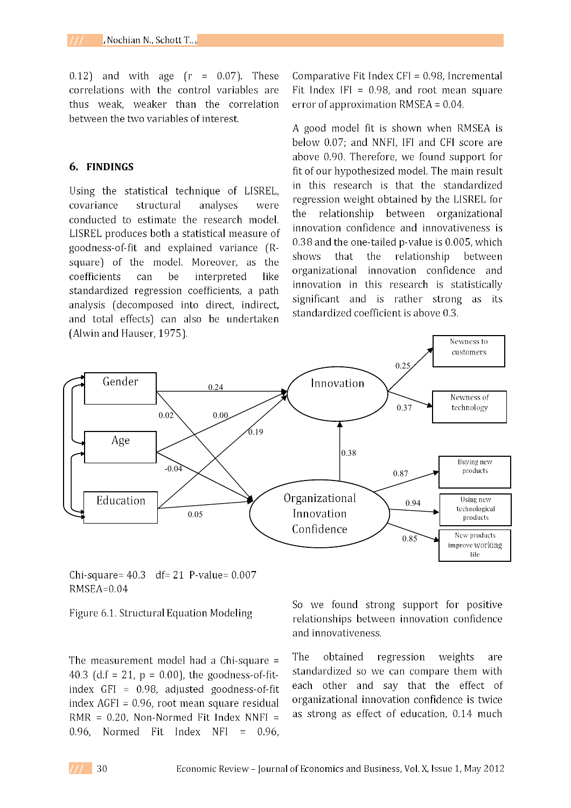$0.12$ ) and with age  $(r = 0.07)$ . These correlations with the control variables are thus weak, weaker than the correlation between the two variables of interest.

### 6. FINDINGS

Using the statistical technique of LISREL, covariance structural analyses were conducted to estimate the research model. LISREL produces both a statistical measure of goodness-of-fit and explained variance (Rsquare) of the model. Moreover, as the coefficients can be interpreted like standardized regression coefficients, a path analysis (decomposed into direct, indirect, and total effects) can also be undertaken (Alwin and Hauser, 1975).

Comparative Fit Index  $CFI = 0.98$ , Incremental Fit Index IFI =  $0.98$ , and root mean square error of approximation RMSEA =  $0.04$ .

A good model fit is shown when RMSEA is below 0.07; and NNFI, IFI and CFI score are above 0.90. Therefore, we found support for fit of our hypothesized model. The main result in this research is that the standardized regression weight obtained by the LISREL for the relationship between organizational innovation confidence and innovativeness is 0.38 and the one-tailed p-value is 0.005, which shows that the relationship between organizational innovation confidence and innovation in this research is statistically significant and is rather strong as its standardized coefficient is above 0.3.



Chi-square= $40.3$  df= $21$  P-value= $0.007$  $RMSEA=0.04$ 

Figure 6.1. Structural Equation Modeling

The measurement model had a Chi-square  $=$ 40.3 (d.f = 21,  $p = 0.00$ ), the goodness-of-fitindex  $GFI = 0.98$ . adjusted goodness-of-fit index AGFI = 0.96, root mean square residual  $RMR = 0.20$ , Non-Normed Fit Index NNFI =  $0.96$ . Normed Fit Index NFI =  $0.96$ .

So we found strong support for positive relationships between innovation confidence and innovativeness.

The regression weights obtained are standardized so we can compare them with each other and say that the effect of organizational innovation confidence is twice as strong as effect of education, 0.14 much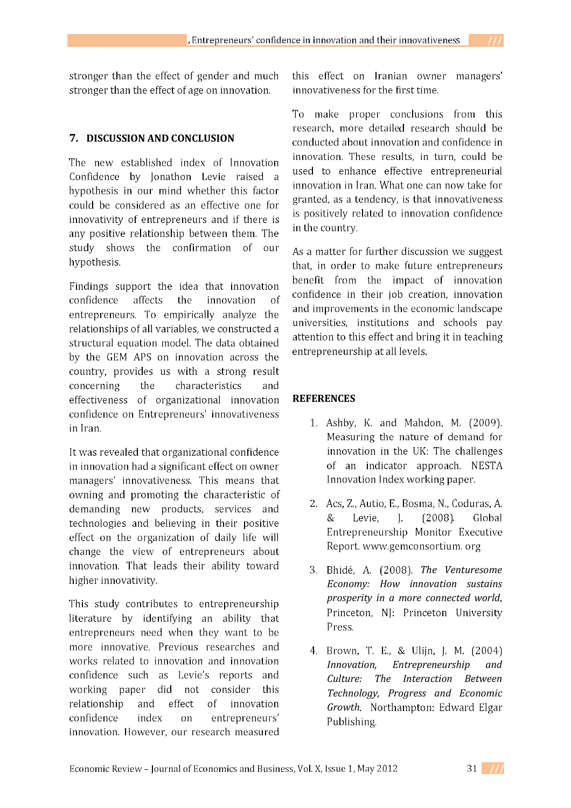stronger than the effect of gender and much stronger than the effect of age on innovation.

# **7. DISCUSSION AND CONCLUSION**

The new established index of Innovation Confidence by Jonathon Levie raised a hypothesis in our mind whether this factor could be considered as an effective one for innovativity of entrepreneurs and if there is any positive relationship between them. The study shows the confirmation of our hypothesis.

Findings support the idea that innovation confidence affects the innovation  $\alpha$ f entrepreneurs. To empirically analyze the relationships of all variables, we constructed a structural equation model. The data obtained by the GEM APS on innovation across the country, provides us with a strong result concerning the characteristics and effectiveness of organizational innovation confidence on Entrepreneurs' innovativeness in Iran.

It was revealed that organizational confidence in innovation had a significant effect on owner managers' innovativeness. This means that owning and promoting the characteristic of demanding new products, services and technologies and believing in their positive effect on the organization of daily life will change the view of entrepreneurs about innovation. That leads their ability toward higher innovativity.

This study contributes to entrepreneurship literature by identifying an ability that entrepreneurs need when they want to be more innovative. Previous researches and works related to innovation and innovation confidence such as Levie's reports and working paper did not consider this relationship and effect  $\sigma$ f innovation confidence index on entrepreneurs' innovation. However, our research measured

this effect on Iranian owner managers' innovativeness for the first time.

To make proper conclusions from this research, more detailed research should be conducted about innovation and confidence in innovation. These results, in turn, could be used to enhance effective entrepreneurial innovation in Iran. What one can now take for granted, as a tendency, is that innovativeness is positively related to innovation confidence in the country.

As a matter for further discussion we suggest that, in order to make future entrepreneurs benefit from the impact of innovation confidence in their job creation, innovation and improvements in the economic landscape universities, institutions and schools pay attention to this effect and bring it in teaching entrepreneurship at all levels.

# **REFERENCES**

- 1. Ashby, K. and Mahdon, M. (2009). Measuring the nature of demand for innovation in the UK: The challenges of an indicator approach. NESTA Innovation Index working paper.
- 2. Acs, Z., Autio, E., Bosma, N., Coduras, A. & Levie.  $\mathbf{I}$ .  $(2008)$ Global Entrepreneurship Monitor Executive Report. www.gemconsortium. org
- *The Venturesome Economy: How innovation sustains prosperity in a more connected world* Princeton, NJ: Princeton University Press.
- 4. Brown, T. E., & Ulijn, J. M. (2004) *Innovation, Entrepreneurship and Culture: The Interaction Between Technology, Progress and Economic Growth*Publishing.